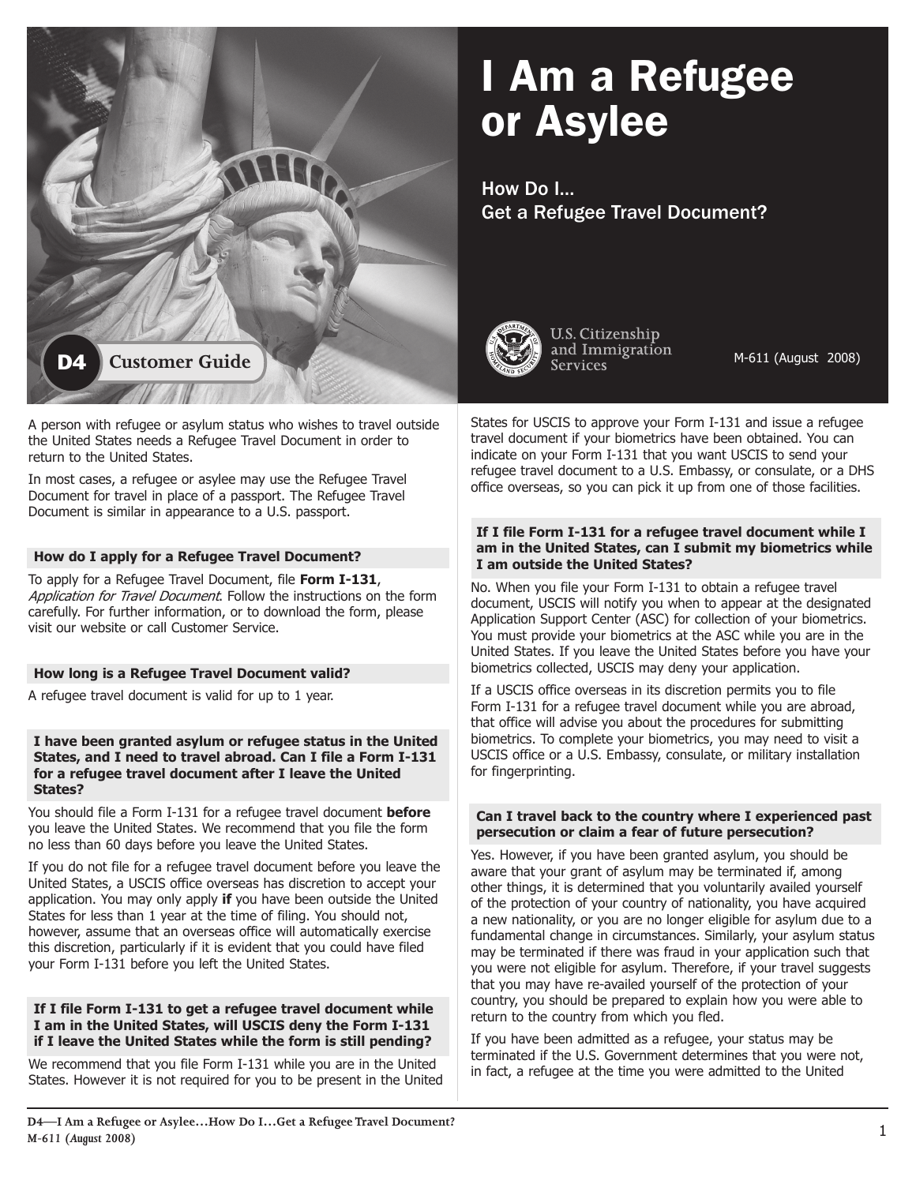# I Am a Refugee or Asylee

How Do I… Get a Refugee Travel Document?



U.S. Citizenship and Immigration Services

M-611 (August 2008)

States for USCIS to approve your Form I-131 and issue a refugee travel document if your biometrics have been obtained. You can indicate on your Form I-131 that you want USCIS to send your refugee travel document to a U.S. Embassy, or consulate, or a DHS office overseas, so you can pick it up from one of those facilities.

#### **If I file Form I-131 for a refugee travel document while I am in the United States, can I submit my biometrics while I am outside the United States?**

No. When you file your Form I-131 to obtain a refugee travel document, USCIS will notify you when to appear at the designated Application Support Center (ASC) for collection of your biometrics. You must provide your biometrics at the ASC while you are in the United States. If you leave the United States before you have your biometrics collected, USCIS may deny your application.

If a USCIS office overseas in its discretion permits you to file Form I-131 for a refugee travel document while you are abroad, that office will advise you about the procedures for submitting biometrics. To complete your biometrics, you may need to visit a USCIS office or a U.S. Embassy, consulate, or military installation for fingerprinting.

#### **Can I travel back to the country where I experienced past persecution or claim a fear of future persecution?**

Yes. However, if you have been granted asylum, you should be aware that your grant of asylum may be terminated if, among other things, it is determined that you voluntarily availed yourself of the protection of your country of nationality, you have acquired a new nationality, or you are no longer eligible for asylum due to a fundamental change in circumstances. Similarly, your asylum status may be terminated if there was fraud in your application such that you were not eligible for asylum. Therefore, if your travel suggests that you may have re-availed yourself of the protection of your country, you should be prepared to explain how you were able to return to the country from which you fled.

If you have been admitted as a refugee, your status may be terminated if the U.S. Government determines that you were not, in fact, a refugee at the time you were admitted to the United



A person with refugee or asylum status who wishes to travel outside the United States needs a Refugee Travel Document in order to return to the United States.

In most cases, a refugee or asylee may use the Refugee Travel Document for travel in place of a passport. The Refugee Travel Document is similar in appearance to a U.S. passport.

## **How do I apply for a Refugee Travel Document?**

To apply for a Refugee Travel Document, file **Form I-131**, Application for Travel Document. Follow the instructions on the form carefully. For further information, or to download the form, please visit our website or call Customer Service.

## **How long is a Refugee Travel Document valid?**

A refugee travel document is valid for up to 1 year.

#### **I have been granted asylum or refugee status in the United States, and I need to travel abroad. Can I file a Form I-131 for a refugee travel document after I leave the United States?**

You should file a Form I-131 for a refugee travel document **before**  you leave the United States. We recommend that you file the form no less than 60 days before you leave the United States.

If you do not file for a refugee travel document before you leave the United States, a USCIS office overseas has discretion to accept your application. You may only apply **if** you have been outside the United States for less than 1 year at the time of filing. You should not, however, assume that an overseas office will automatically exercise this discretion, particularly if it is evident that you could have filed your Form I-131 before you left the United States.

#### **If I file Form I-131 to get a refugee travel document while I am in the United States, will USCIS deny the Form I-131 if I leave the United States while the form is still pending?**

We recommend that you file Form I-131 while you are in the United States. However it is not required for you to be present in the United